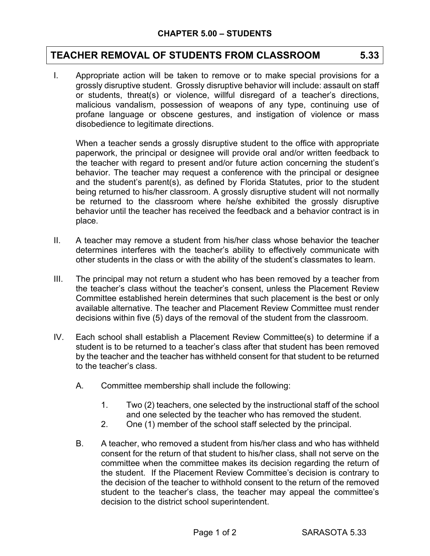## **TEACHER REMOVAL OF STUDENTS FROM CLASSROOM 5.33**

I. Appropriate action will be taken to remove or to make special provisions for a grossly disruptive student. Grossly disruptive behavior will include: assault on staff or students, threat(s) or violence, willful disregard of a teacher's directions, malicious vandalism, possession of weapons of any type, continuing use of profane language or obscene gestures, and instigation of violence or mass disobedience to legitimate directions.

When a teacher sends a grossly disruptive student to the office with appropriate paperwork, the principal or designee will provide oral and/or written feedback to the teacher with regard to present and/or future action concerning the student's behavior. The teacher may request a conference with the principal or designee and the student's parent(s), as defined by Florida Statutes, prior to the student being returned to his/her classroom. A grossly disruptive student will not normally be returned to the classroom where he/she exhibited the grossly disruptive behavior until the teacher has received the feedback and a behavior contract is in place.

- II. A teacher may remove a student from his/her class whose behavior the teacher determines interferes with the teacher's ability to effectively communicate with other students in the class or with the ability of the student's classmates to learn.
- III. The principal may not return a student who has been removed by a teacher from the teacher's class without the teacher's consent, unless the Placement Review Committee established herein determines that such placement is the best or only available alternative. The teacher and Placement Review Committee must render decisions within five (5) days of the removal of the student from the classroom.
- IV. Each school shall establish a Placement Review Committee(s) to determine if a student is to be returned to a teacher's class after that student has been removed by the teacher and the teacher has withheld consent for that student to be returned to the teacher's class.
	- A. Committee membership shall include the following:
		- 1. Two (2) teachers, one selected by the instructional staff of the school and one selected by the teacher who has removed the student.
		- 2. One (1) member of the school staff selected by the principal.
	- B. A teacher, who removed a student from his/her class and who has withheld consent for the return of that student to his/her class, shall not serve on the committee when the committee makes its decision regarding the return of the student. If the Placement Review Committee's decision is contrary to the decision of the teacher to withhold consent to the return of the removed student to the teacher's class, the teacher may appeal the committee's decision to the district school superintendent.